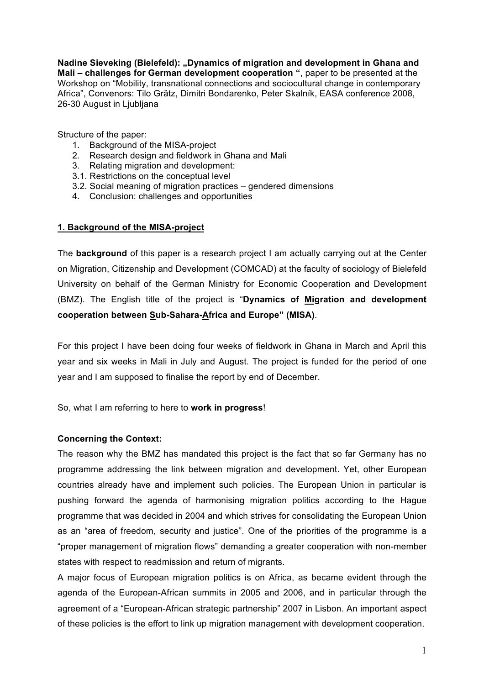Nadine Sieveking (Bielefeld): "Dynamics of migration and development in Ghana and **Mali – challenges for German development cooperation "**, paper to be presented at the Workshop on "Mobility, transnational connections and sociocultural change in contemporary Africa", Convenors: Tilo Grätz, Dimitri Bondarenko, Peter Skalník, EASA conference 2008, 26-30 August in Liubliana

Structure of the paper:

- 1. Background of the MISA-project
- 2. Research design and fieldwork in Ghana and Mali
- 3. Relating migration and development:
- 3.1. Restrictions on the conceptual level
- 3.2. Social meaning of migration practices gendered dimensions
- 4. Conclusion: challenges and opportunities

### **1. Background of the MISA-project**

The **background** of this paper is a research project I am actually carrying out at the Center on Migration, Citizenship and Development (COMCAD) at the faculty of sociology of Bielefeld University on behalf of the German Ministry for Economic Cooperation and Development (BMZ). The English title of the project is "**Dynamics of Migration and development cooperation between Sub-Sahara-Africa and Europe" (MISA)**.

For this project I have been doing four weeks of fieldwork in Ghana in March and April this year and six weeks in Mali in July and August. The project is funded for the period of one year and I am supposed to finalise the report by end of December.

So, what I am referring to here to **work in progress**!

## **Concerning the Context:**

The reason why the BMZ has mandated this project is the fact that so far Germany has no programme addressing the link between migration and development. Yet, other European countries already have and implement such policies. The European Union in particular is pushing forward the agenda of harmonising migration politics according to the Hague programme that was decided in 2004 and which strives for consolidating the European Union as an "area of freedom, security and justice". One of the priorities of the programme is a "proper management of migration flows" demanding a greater cooperation with non-member states with respect to readmission and return of migrants.

A major focus of European migration politics is on Africa, as became evident through the agenda of the European-African summits in 2005 and 2006, and in particular through the agreement of a "European-African strategic partnership" 2007 in Lisbon. An important aspect of these policies is the effort to link up migration management with development cooperation.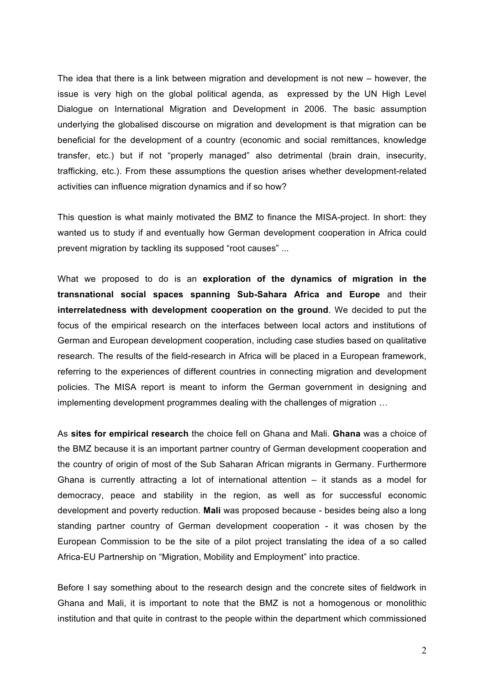The idea that there is a link between migration and development is not new – however, the issue is very high on the global political agenda, as expressed by the UN High Level Dialogue on International Migration and Development in 2006. The basic assumption underlying the globalised discourse on migration and development is that migration can be beneficial for the development of a country (economic and social remittances, knowledge transfer, etc.) but if not "properly managed" also detrimental (brain drain, insecurity, trafficking, etc.). From these assumptions the question arises whether development-related activities can influence migration dynamics and if so how?

This question is what mainly motivated the BMZ to finance the MISA-project. In short: they wanted us to study if and eventually how German development cooperation in Africa could prevent migration by tackling its supposed "root causes" ...

What we proposed to do is an **exploration of the dynamics of migration in the transnational social spaces spanning Sub-Sahara Africa and Europe** and their **interrelatedness with development cooperation on the ground**. We decided to put the focus of the empirical research on the interfaces between local actors and institutions of German and European development cooperation, including case studies based on qualitative research. The results of the field-research in Africa will be placed in a European framework, referring to the experiences of different countries in connecting migration and development policies. The MISA report is meant to inform the German government in designing and implementing development programmes dealing with the challenges of migration …

As **sites for empirical research** the choice fell on Ghana and Mali. **Ghana** was a choice of the BMZ because it is an important partner country of German development cooperation and the country of origin of most of the Sub Saharan African migrants in Germany. Furthermore Ghana is currently attracting a lot of international attention  $-$  it stands as a model for democracy, peace and stability in the region, as well as for successful economic development and poverty reduction. **Mali** was proposed because - besides being also a long standing partner country of German development cooperation - it was chosen by the European Commission to be the site of a pilot project translating the idea of a so called Africa-EU Partnership on "Migration, Mobility and Employment" into practice.

Before I say something about to the research design and the concrete sites of fieldwork in Ghana and Mali, it is important to note that the BMZ is not a homogenous or monolithic institution and that quite in contrast to the people within the department which commissioned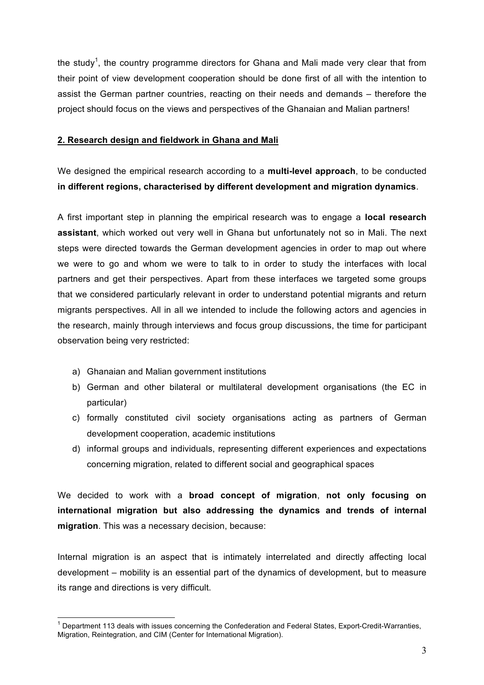the study<sup>1</sup>, the country programme directors for Ghana and Mali made very clear that from their point of view development cooperation should be done first of all with the intention to assist the German partner countries, reacting on their needs and demands – therefore the project should focus on the views and perspectives of the Ghanaian and Malian partners!

# **2. Research design and fieldwork in Ghana and Mali**

We designed the empirical research according to a **multi-level approach**, to be conducted **in different regions, characterised by different development and migration dynamics**.

A first important step in planning the empirical research was to engage a **local research assistant**, which worked out very well in Ghana but unfortunately not so in Mali. The next steps were directed towards the German development agencies in order to map out where we were to go and whom we were to talk to in order to study the interfaces with local partners and get their perspectives. Apart from these interfaces we targeted some groups that we considered particularly relevant in order to understand potential migrants and return migrants perspectives. All in all we intended to include the following actors and agencies in the research, mainly through interviews and focus group discussions, the time for participant observation being very restricted:

- a) Ghanaian and Malian government institutions
- b) German and other bilateral or multilateral development organisations (the EC in particular)
- c) formally constituted civil society organisations acting as partners of German development cooperation, academic institutions
- d) informal groups and individuals, representing different experiences and expectations concerning migration, related to different social and geographical spaces

We decided to work with a **broad concept of migration**, **not only focusing on international migration but also addressing the dynamics and trends of internal migration**. This was a necessary decision, because:

Internal migration is an aspect that is intimately interrelated and directly affecting local development – mobility is an essential part of the dynamics of development, but to measure its range and directions is very difficult.

<sup>&</sup>lt;sup>1</sup> Department 113 deals with issues concerning the Confederation and Federal States, Export-Credit-Warranties, Migration, Reintegration, and CIM (Center for International Migration).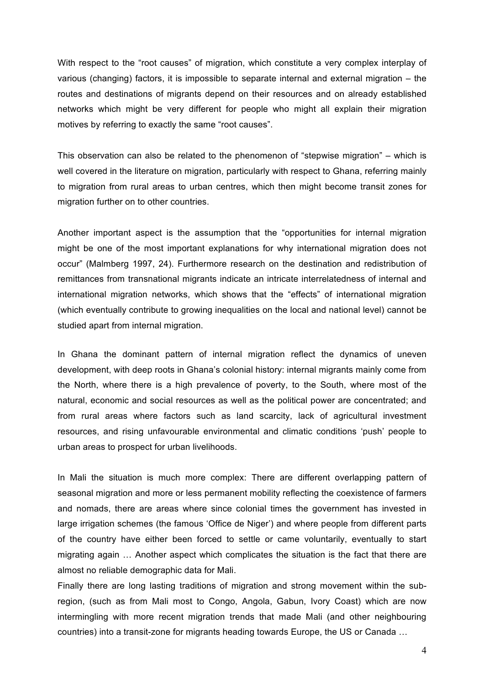With respect to the "root causes" of migration, which constitute a very complex interplay of various (changing) factors, it is impossible to separate internal and external migration – the routes and destinations of migrants depend on their resources and on already established networks which might be very different for people who might all explain their migration motives by referring to exactly the same "root causes".

This observation can also be related to the phenomenon of "stepwise migration" – which is well covered in the literature on migration, particularly with respect to Ghana, referring mainly to migration from rural areas to urban centres, which then might become transit zones for migration further on to other countries.

Another important aspect is the assumption that the "opportunities for internal migration might be one of the most important explanations for why international migration does not occur" (Malmberg 1997, 24). Furthermore research on the destination and redistribution of remittances from transnational migrants indicate an intricate interrelatedness of internal and international migration networks, which shows that the "effects" of international migration (which eventually contribute to growing inequalities on the local and national level) cannot be studied apart from internal migration.

In Ghana the dominant pattern of internal migration reflect the dynamics of uneven development, with deep roots in Ghana's colonial history: internal migrants mainly come from the North, where there is a high prevalence of poverty, to the South, where most of the natural, economic and social resources as well as the political power are concentrated; and from rural areas where factors such as land scarcity, lack of agricultural investment resources, and rising unfavourable environmental and climatic conditions 'push' people to urban areas to prospect for urban livelihoods.

In Mali the situation is much more complex: There are different overlapping pattern of seasonal migration and more or less permanent mobility reflecting the coexistence of farmers and nomads, there are areas where since colonial times the government has invested in large irrigation schemes (the famous 'Office de Niger') and where people from different parts of the country have either been forced to settle or came voluntarily, eventually to start migrating again … Another aspect which complicates the situation is the fact that there are almost no reliable demographic data for Mali.

Finally there are long lasting traditions of migration and strong movement within the subregion, (such as from Mali most to Congo, Angola, Gabun, Ivory Coast) which are now intermingling with more recent migration trends that made Mali (and other neighbouring countries) into a transit-zone for migrants heading towards Europe, the US or Canada …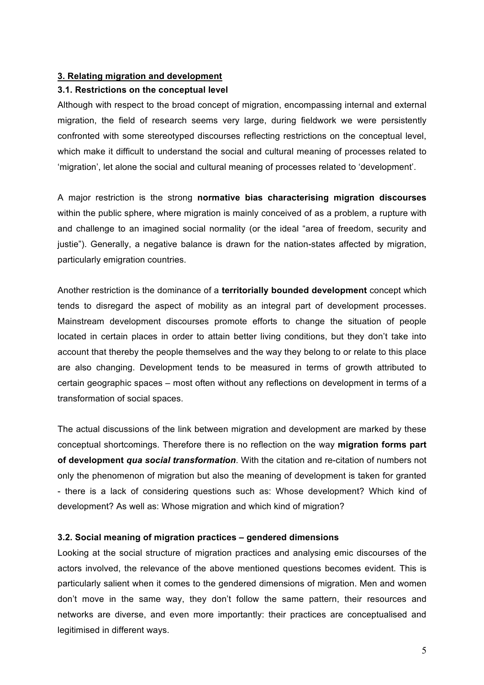## **3. Relating migration and development**

### **3.1. Restrictions on the conceptual level**

Although with respect to the broad concept of migration, encompassing internal and external migration, the field of research seems very large, during fieldwork we were persistently confronted with some stereotyped discourses reflecting restrictions on the conceptual level, which make it difficult to understand the social and cultural meaning of processes related to 'migration', let alone the social and cultural meaning of processes related to 'development'.

A major restriction is the strong **normative bias characterising migration discourses** within the public sphere, where migration is mainly conceived of as a problem, a rupture with and challenge to an imagined social normality (or the ideal "area of freedom, security and justie"). Generally, a negative balance is drawn for the nation-states affected by migration, particularly emigration countries.

Another restriction is the dominance of a **territorially bounded development** concept which tends to disregard the aspect of mobility as an integral part of development processes. Mainstream development discourses promote efforts to change the situation of people located in certain places in order to attain better living conditions, but they don't take into account that thereby the people themselves and the way they belong to or relate to this place are also changing. Development tends to be measured in terms of growth attributed to certain geographic spaces – most often without any reflections on development in terms of a transformation of social spaces.

The actual discussions of the link between migration and development are marked by these conceptual shortcomings. Therefore there is no reflection on the way **migration forms part of development** *qua social transformation*. With the citation and re-citation of numbers not only the phenomenon of migration but also the meaning of development is taken for granted - there is a lack of considering questions such as: Whose development? Which kind of development? As well as: Whose migration and which kind of migration?

#### **3.2. Social meaning of migration practices – gendered dimensions**

Looking at the social structure of migration practices and analysing emic discourses of the actors involved, the relevance of the above mentioned questions becomes evident. This is particularly salient when it comes to the gendered dimensions of migration. Men and women don't move in the same way, they don't follow the same pattern, their resources and networks are diverse, and even more importantly: their practices are conceptualised and legitimised in different ways.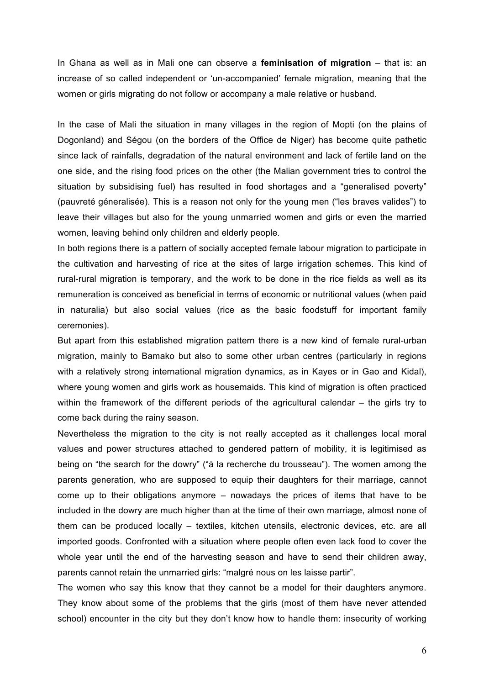In Ghana as well as in Mali one can observe a **feminisation of migration** – that is: an increase of so called independent or 'un-accompanied' female migration, meaning that the women or girls migrating do not follow or accompany a male relative or husband.

In the case of Mali the situation in many villages in the region of Mopti (on the plains of Dogonland) and Ségou (on the borders of the Office de Niger) has become quite pathetic since lack of rainfalls, degradation of the natural environment and lack of fertile land on the one side, and the rising food prices on the other (the Malian government tries to control the situation by subsidising fuel) has resulted in food shortages and a "generalised poverty" (pauvreté géneralisée). This is a reason not only for the young men ("les braves valides") to leave their villages but also for the young unmarried women and girls or even the married women, leaving behind only children and elderly people.

In both regions there is a pattern of socially accepted female labour migration to participate in the cultivation and harvesting of rice at the sites of large irrigation schemes. This kind of rural-rural migration is temporary, and the work to be done in the rice fields as well as its remuneration is conceived as beneficial in terms of economic or nutritional values (when paid in naturalia) but also social values (rice as the basic foodstuff for important family ceremonies).

But apart from this established migration pattern there is a new kind of female rural-urban migration, mainly to Bamako but also to some other urban centres (particularly in regions with a relatively strong international migration dynamics, as in Kayes or in Gao and Kidal), where young women and girls work as housemaids. This kind of migration is often practiced within the framework of the different periods of the agricultural calendar – the girls try to come back during the rainy season.

Nevertheless the migration to the city is not really accepted as it challenges local moral values and power structures attached to gendered pattern of mobility, it is legitimised as being on "the search for the dowry" ("à la recherche du trousseau"). The women among the parents generation, who are supposed to equip their daughters for their marriage, cannot come up to their obligations anymore – nowadays the prices of items that have to be included in the dowry are much higher than at the time of their own marriage, almost none of them can be produced locally – textiles, kitchen utensils, electronic devices, etc. are all imported goods. Confronted with a situation where people often even lack food to cover the whole year until the end of the harvesting season and have to send their children away, parents cannot retain the unmarried girls: "malgré nous on les laisse partir".

The women who say this know that they cannot be a model for their daughters anymore. They know about some of the problems that the girls (most of them have never attended school) encounter in the city but they don't know how to handle them: insecurity of working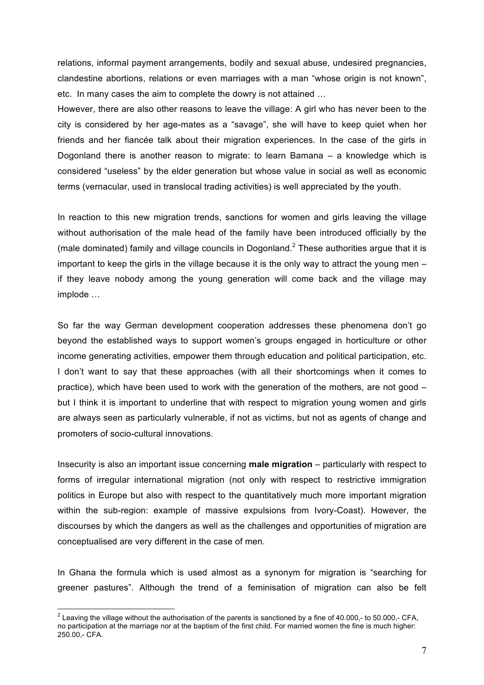relations, informal payment arrangements, bodily and sexual abuse, undesired pregnancies, clandestine abortions, relations or even marriages with a man "whose origin is not known", etc. In many cases the aim to complete the dowry is not attained …

However, there are also other reasons to leave the village: A girl who has never been to the city is considered by her age-mates as a "savage", she will have to keep quiet when her friends and her fiancée talk about their migration experiences. In the case of the girls in Dogonland there is another reason to migrate: to learn Bamana – a knowledge which is considered "useless" by the elder generation but whose value in social as well as economic terms (vernacular, used in translocal trading activities) is well appreciated by the youth.

In reaction to this new migration trends, sanctions for women and girls leaving the village without authorisation of the male head of the family have been introduced officially by the (male dominated) family and village councils in Dogonland. <sup>2</sup> These authorities argue that it is important to keep the girls in the village because it is the only way to attract the young men – if they leave nobody among the young generation will come back and the village may implode …

So far the way German development cooperation addresses these phenomena don't go beyond the established ways to support women's groups engaged in horticulture or other income generating activities, empower them through education and political participation, etc. I don't want to say that these approaches (with all their shortcomings when it comes to practice), which have been used to work with the generation of the mothers, are not good – but I think it is important to underline that with respect to migration young women and girls are always seen as particularly vulnerable, if not as victims, but not as agents of change and promoters of socio-cultural innovations.

Insecurity is also an important issue concerning **male migration** – particularly with respect to forms of irregular international migration (not only with respect to restrictive immigration politics in Europe but also with respect to the quantitatively much more important migration within the sub-region: example of massive expulsions from Ivory-Coast). However, the discourses by which the dangers as well as the challenges and opportunities of migration are conceptualised are very different in the case of men.

In Ghana the formula which is used almost as a synonym for migration is "searching for greener pastures". Although the trend of a feminisation of migration can also be felt

 $\frac{1}{2}$  $2$  Leaving the village without the authorisation of the parents is sanctioned by a fine of 40.000,- to 50.000,- CFA, no participation at the marriage nor at the baptism of the first child. For married women the fine is much higher: 250.00,- CFA.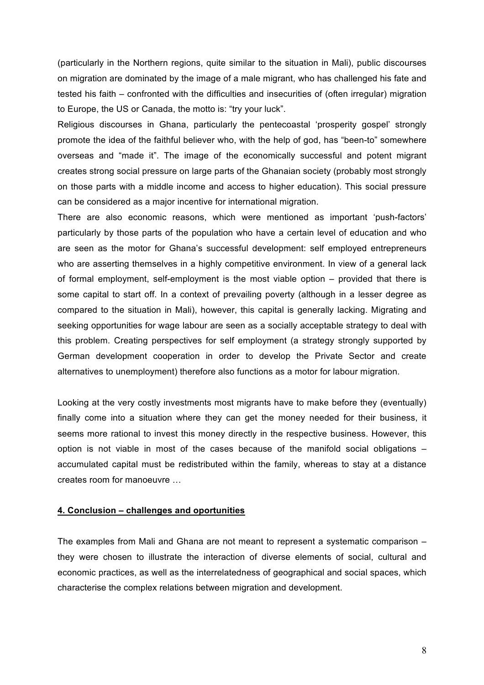(particularly in the Northern regions, quite similar to the situation in Mali), public discourses on migration are dominated by the image of a male migrant, who has challenged his fate and tested his faith – confronted with the difficulties and insecurities of (often irregular) migration to Europe, the US or Canada, the motto is: "try your luck".

Religious discourses in Ghana, particularly the pentecoastal 'prosperity gospel' strongly promote the idea of the faithful believer who, with the help of god, has "been-to" somewhere overseas and "made it". The image of the economically successful and potent migrant creates strong social pressure on large parts of the Ghanaian society (probably most strongly on those parts with a middle income and access to higher education). This social pressure can be considered as a major incentive for international migration.

There are also economic reasons, which were mentioned as important 'push-factors' particularly by those parts of the population who have a certain level of education and who are seen as the motor for Ghana's successful development: self employed entrepreneurs who are asserting themselves in a highly competitive environment. In view of a general lack of formal employment, self-employment is the most viable option – provided that there is some capital to start off. In a context of prevailing poverty (although in a lesser degree as compared to the situation in Mali), however, this capital is generally lacking. Migrating and seeking opportunities for wage labour are seen as a socially acceptable strategy to deal with this problem. Creating perspectives for self employment (a strategy strongly supported by German development cooperation in order to develop the Private Sector and create alternatives to unemployment) therefore also functions as a motor for labour migration.

Looking at the very costly investments most migrants have to make before they (eventually) finally come into a situation where they can get the money needed for their business, it seems more rational to invest this money directly in the respective business. However, this option is not viable in most of the cases because of the manifold social obligations – accumulated capital must be redistributed within the family, whereas to stay at a distance creates room for manoeuvre …

#### **4. Conclusion – challenges and oportunities**

The examples from Mali and Ghana are not meant to represent a systematic comparison – they were chosen to illustrate the interaction of diverse elements of social, cultural and economic practices, as well as the interrelatedness of geographical and social spaces, which characterise the complex relations between migration and development.